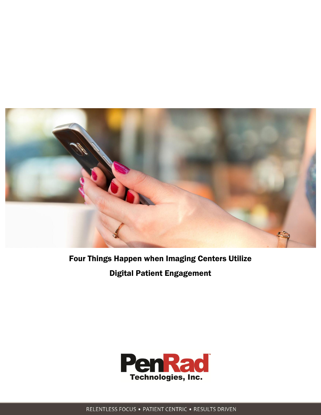

# Four Things Happen when Imaging Centers Utilize Digital Patient Engagement



RELENTLESS FOCUS . PATIENT CENTRIC . RESULTS DRIVEN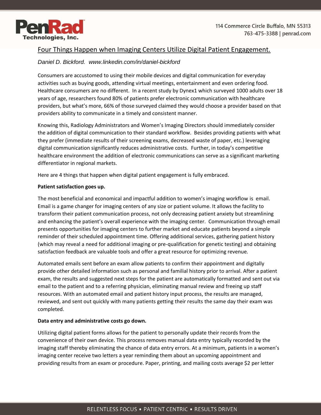

## Four Things Happen when Imaging Centers Utilize Digital Patient Engagement.

### *Daniel D. Bickford. www.linkedin.com/in/daniel-bickford*

Consumers are accustomed to using their mobile devices and digital communication for everyday activities such as buying goods, attending virtual meetings, entertainment and even ordering food. Healthcare consumers are no different. In a recent study by Dynex1 which surveyed 1000 adults over 18 years of age, researchers found 80% of patients prefer electronic communication with healthcare providers, but what's more, 66% of those surveyed claimed they would choose a provider based on that providers ability to communicate in a timely and consistent manner.

Knowing this, Radiology Administrators and Women's Imaging Directors should immediately consider the addition of digital communication to their standard workflow. Besides providing patients with what they prefer (immediate results of their screening exams, decreased waste of paper, etc.) leveraging digital communication significantly reduces administrative costs. Further, in today's competitive healthcare environment the addition of electronic communications can serve as a significant marketing differentiator in regional markets.

Here are 4 things that happen when digital patient engagement is fully embraced.

#### **Patient satisfaction goes up.**

The most beneficial and economical and impactful addition to women's imaging workflow is email. Email is a game changer for imaging centers of any size or patient volume. It allows the facility to transform their patient communication process, not only decreasing patient anxiety but streamlining and enhancing the patient's overall experience with the imaging center. Communication through email presents opportunities for imaging centers to further market and educate patients beyond a simple reminder of their scheduled appointment time. Offering additional services, gathering patient history (which may reveal a need for additional imaging or pre-qualification for genetic testing) and obtaining satisfaction feedback are valuable tools and offer a great resource for optimizing revenue.

Automated emails sent before an exam allow patients to confirm their appointment and digitally provide other detailed information such as personal and familial history prior to arrival. After a patient exam, the results and suggested next steps for the patient are automatically formatted and sent out via email to the patient and to a referring physician, eliminating manual review and freeing up staff resources. With an automated email and patient history input process, the results are managed, reviewed, and sent out quickly with many patients getting their results the same day their exam was completed.

#### **Data entry and administrative costs go down.**

Utilizing digital patient forms allows for the patient to personally update their records from the convenience of their own device. This process removes manual data entry typically recorded by the imaging staff thereby eliminating the chance of data entry errors. At a minimum, patients in a women's imaging center receive two letters a year reminding them about an upcoming appointment and providing results from an exam or procedure. Paper, printing, and mailing costs average \$2 per letter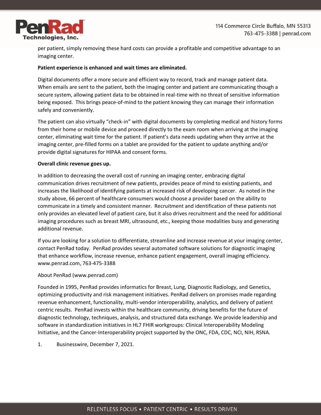

per patient, simply removing these hard costs can provide a profitable and competitive advantage to an imaging center.

#### **Patient experience is enhanced and wait times are eliminated.**

Digital documents offer a more secure and efficient way to record, track and manage patient data. When emails are sent to the patient, both the imaging center and patient are communicating though a secure system, allowing patient data to be obtained in real-time with no threat of sensitive information being exposed. This brings peace-of-mind to the patient knowing they can manage their information safely and conveniently.

The patient can also virtually "check-in" with digital documents by completing medical and history forms from their home or mobile device and proceed directly to the exam room when arriving at the imaging center, eliminating wait time for the patient. If patient's data needs updating when they arrive at the imaging center, pre-filled forms on a tablet are provided for the patient to update anything and/or provide digital signatures for HIPAA and consent forms.

#### **Overall clinic revenue goes up.**

In addition to decreasing the overall cost of running an imaging center, embracing digital communication drives recruitment of new patients, provides peace of mind to existing patients, and increases the likelihood of identifying patients at increased risk of developing cancer. As noted in the study above, 66 percent of healthcare consumers would choose a provider based on the ability to communicate in a timely and consistent manner. Recruitment and identification of these patients not only provides an elevated level of patient care, but it also drives recruitment and the need for additional imaging procedures such as breast MRI, ultrasound, etc., keeping those modalities busy and generating additional revenue.

If you are looking for a solution to differentiate, streamline and increase revenue at your imaging center, contact PenRad today. PenRad provides several automated software solutions for diagnostic imaging that enhance workflow, increase revenue, enhance patient engagement, overall imaging efficiency. www.penrad.com, 763-475-3388

#### About PenRad (www.penrad.com)

Founded in 1995, PenRad provides informatics for Breast, Lung, Diagnostic Radiology, and Genetics, optimizing productivity and risk management initiatives. PenRad delivers on promises made regarding revenue enhancement, functionality, multi-vendor interoperability, analytics, and delivery of patient centric results. PenRad invests within the healthcare community, driving benefits for the future of diagnostic technology, techniques, analysis, and structured data exchange. We provide leadership and software in standardization initiatives in HL7 FHIR workgroups: Clinical Interoperability Modeling Initiative, and the Cancer-Interoperability project supported by the ONC, FDA, CDC, NCI, NIH, RSNA.

1. Businesswire, December 7, 2021.